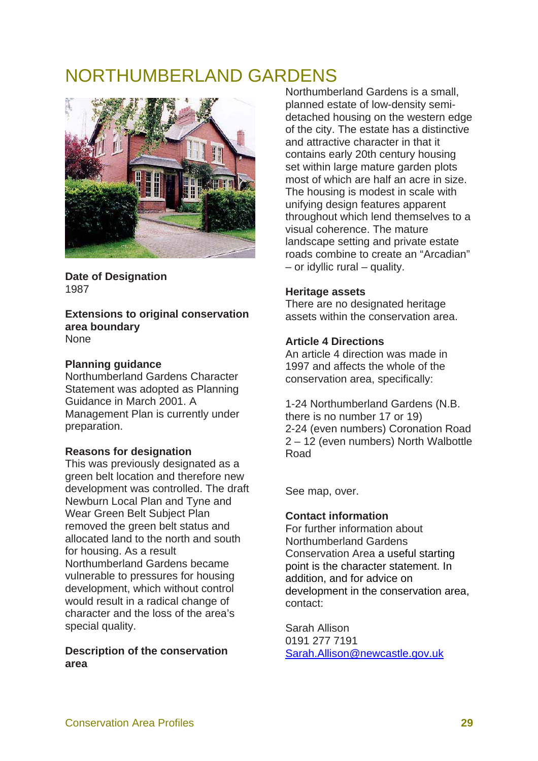# NORTHUMBERLAND GARDENS



**Date of Designation**  1987

**Extensions to original conservation area boundary**  None

#### **Planning guidance**

Northumberland Gardens Character Statement was adopted as Planning Guidance in March 2001. A Management Plan is currently under preparation.

# **Reasons for designation**

This was previously designated as a green belt location and therefore new development was controlled. The draft Newburn Local Plan and Tyne and Wear Green Belt Subject Plan removed the green belt status and allocated land to the north and south for housing. As a result Northumberland Gardens became vulnerable to pressures for housing development, which without control would result in a radical change of character and the loss of the area's special quality.

### **Description of the conservation area**

Northumberland Gardens is a small, planned estate of low-density semidetached housing on the western edge of the city. The estate has a distinctive and attractive character in that it contains early 20th century housing set within large mature garden plots most of which are half an acre in size. The housing is modest in scale with unifying design features apparent throughout which lend themselves to a visual coherence. The mature landscape setting and private estate roads combine to create an "Arcadian" – or idyllic rural – quality.

#### **Heritage assets**

There are no designated heritage assets within the conservation area.

# **Article 4 Directions**

An article 4 direction was made in 1997 and affects the whole of the conservation area, specifically:

1-24 Northumberland Gardens (N.B. there is no number 17 or 19) 2-24 (even numbers) Coronation Road 2 – 12 (even numbers) North Walbottle Road

See map, over.

# **Contact information**

For further information about Northumberland Gardens Conservation Area a useful starting point is the character statement. In addition, and for advice on development in the conservation area, contact:

Sarah Allison 0191 277 7191 Sarah.Allison@newcastle.gov.uk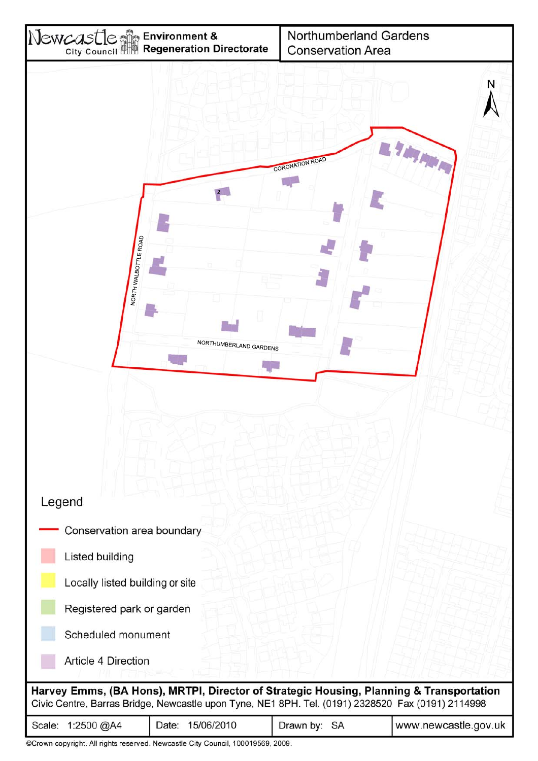

©Crown copyright. All rights reserved. Newcastle City Council, 100019569, 2009.